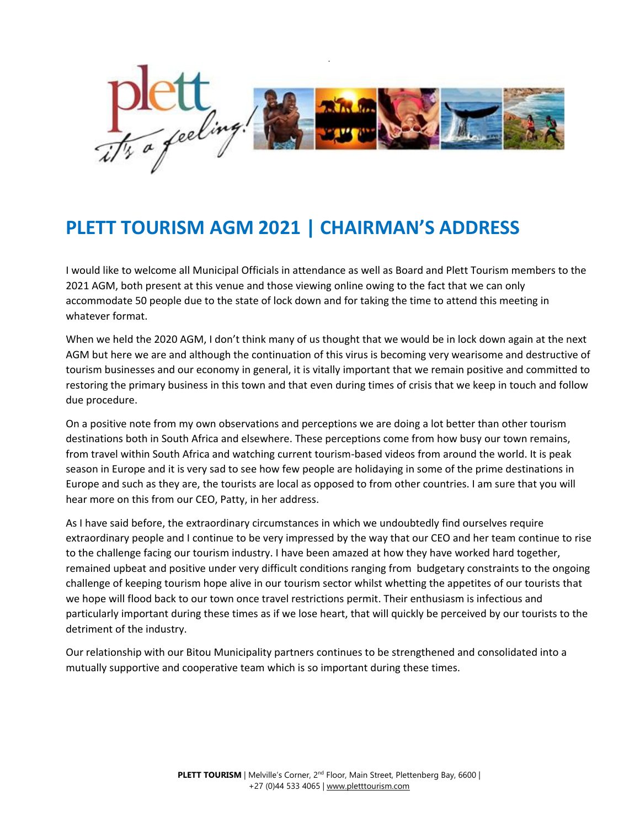

## **PLETT TOURISM AGM 2021 | CHAIRMAN'S ADDRESS**

I would like to welcome all Municipal Officials in attendance as well as Board and Plett Tourism members to the 2021 AGM, both present at this venue and those viewing online owing to the fact that we can only accommodate 50 people due to the state of lock down and for taking the time to attend this meeting in whatever format.

When we held the 2020 AGM, I don't think many of us thought that we would be in lock down again at the next AGM but here we are and although the continuation of this virus is becoming very wearisome and destructive of tourism businesses and our economy in general, it is vitally important that we remain positive and committed to restoring the primary business in this town and that even during times of crisis that we keep in touch and follow due procedure.

On a positive note from my own observations and perceptions we are doing a lot better than other tourism destinations both in South Africa and elsewhere. These perceptions come from how busy our town remains, from travel within South Africa and watching current tourism-based videos from around the world. It is peak season in Europe and it is very sad to see how few people are holidaying in some of the prime destinations in Europe and such as they are, the tourists are local as opposed to from other countries. I am sure that you will hear more on this from our CEO, Patty, in her address.

As I have said before, the extraordinary circumstances in which we undoubtedly find ourselves require extraordinary people and I continue to be very impressed by the way that our CEO and her team continue to rise to the challenge facing our tourism industry. I have been amazed at how they have worked hard together, remained upbeat and positive under very difficult conditions ranging from budgetary constraints to the ongoing challenge of keeping tourism hope alive in our tourism sector whilst whetting the appetites of our tourists that we hope will flood back to our town once travel restrictions permit. Their enthusiasm is infectious and particularly important during these times as if we lose heart, that will quickly be perceived by our tourists to the detriment of the industry.

Our relationship with our Bitou Municipality partners continues to be strengthened and consolidated into a mutually supportive and cooperative team which is so important during these times.